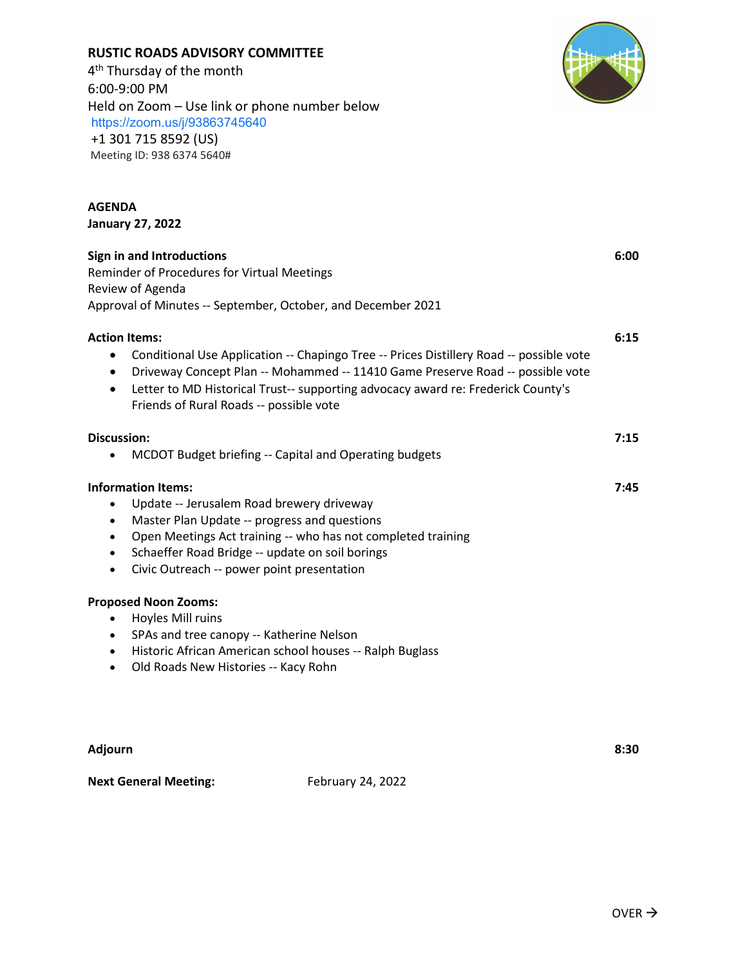| <b>Adjourn</b>               |                   | 8:30 |
|------------------------------|-------------------|------|
| <b>Next General Meeting:</b> | February 24, 2022 |      |
|                              |                   |      |
|                              |                   |      |

**Sign in and Introductions 6:00** Reminder of Procedures for Virtual Meetings Review of Agenda Approval of Minutes -- September, October, and December 2021 **Action Items: 6:15**

- Conditional Use Application -- Chapingo Tree -- Prices Distillery Road -- possible vote
- Driveway Concept Plan -- Mohammed -- 11410 Game Preserve Road -- possible vote
- Letter to MD Historical Trust-- supporting advocacy award re: Frederick County's Friends of Rural Roads -- possible vote

| Discussion:                                            | 7:15 |
|--------------------------------------------------------|------|
| MCDOT Budget briefing -- Capital and Operating budgets |      |

# **Information Items: 7:45**

- Update -- Jerusalem Road brewery driveway
- Master Plan Update -- progress and questions
- Open Meetings Act training -- who has not completed training
- Schaeffer Road Bridge -- update on soil borings
- Civic Outreach -- power point presentation

## **Proposed Noon Zooms:**

- Hoyles Mill ruins
- SPAs and tree canopy -- Katherine Nelson
- Historic African American school houses -- Ralph Buglass
- Old Roads New Histories -- Kacy Rohn

**January 27, 2022**

**RUSTIC ROADS ADVISORY COMMITTEE**

Held on Zoom – Use link or phone number below

4<sup>th</sup> Thursday of the month

+1 301 715 8592 (US) Meeting ID: 938 6374 5640#

<https://zoom.us/j/93863745640>

6:00-9:00 PM

**AGENDA**